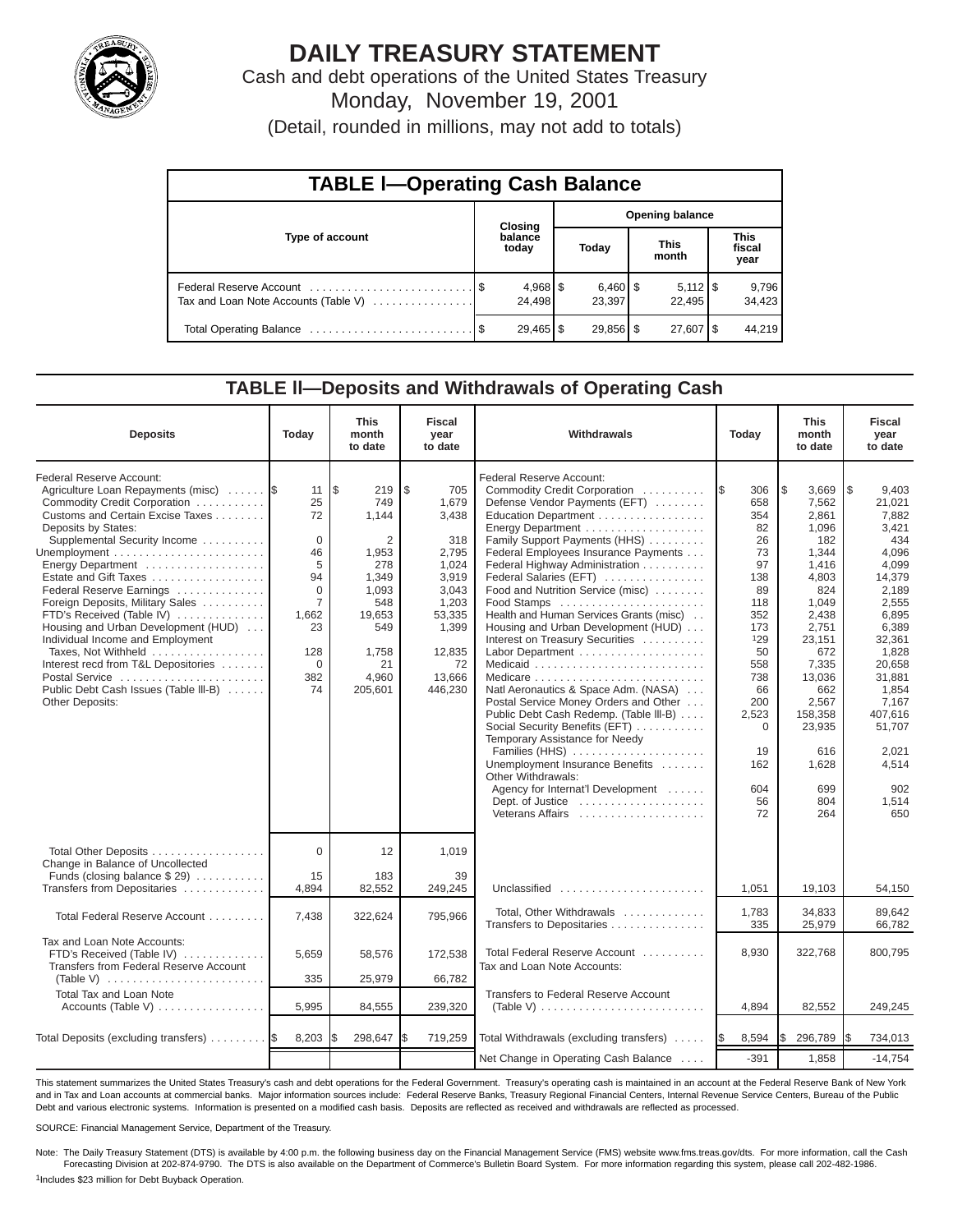

## **DAILY TREASURY STATEMENT**

Cash and debt operations of the United States Treasury Monday, November 19, 2001

(Detail, rounded in millions, may not add to totals)

| <b>TABLE I-Operating Cash Balance</b> |  |                  |                        |                                 |  |                              |  |                               |  |  |
|---------------------------------------|--|------------------|------------------------|---------------------------------|--|------------------------------|--|-------------------------------|--|--|
|                                       |  | Closing          | <b>Opening balance</b> |                                 |  |                              |  |                               |  |  |
| Type of account                       |  | balance<br>today |                        | Today                           |  | <b>This</b><br>month         |  | <b>This</b><br>fiscal<br>year |  |  |
| Tax and Loan Note Accounts (Table V)  |  | 24.498           |                        | $6,460$ $\frac{8}{3}$<br>23.397 |  | $5,112$ $\sqrt{5}$<br>22.495 |  | 9,796<br>34,423               |  |  |
|                                       |  |                  |                        | $29,856$ \$                     |  | $27,607$ $\frac{8}{3}$       |  | 44.219                        |  |  |

#### **TABLE ll—Deposits and Withdrawals of Operating Cash**

| <b>Deposits</b>                                                                                                                                                                                                                                                                                                                                                                                                                                                                                                                                             | Todav                                                                                                                    | <b>This</b><br>month<br>to date                                                                                              | <b>Fiscal</b><br>year<br>to date                                                                                                         | Withdrawals                                                                                                                                                                                                                                                                                                                                                                                                                                                                                                                                                                                                                                                                                                                                                                                                                    | Today                                                                                                                                                                              | <b>This</b><br>month<br>to date                                                                                                                                                                                            | <b>Fiscal</b><br>vear<br>to date                                                                                                                                                                                                              |
|-------------------------------------------------------------------------------------------------------------------------------------------------------------------------------------------------------------------------------------------------------------------------------------------------------------------------------------------------------------------------------------------------------------------------------------------------------------------------------------------------------------------------------------------------------------|--------------------------------------------------------------------------------------------------------------------------|------------------------------------------------------------------------------------------------------------------------------|------------------------------------------------------------------------------------------------------------------------------------------|--------------------------------------------------------------------------------------------------------------------------------------------------------------------------------------------------------------------------------------------------------------------------------------------------------------------------------------------------------------------------------------------------------------------------------------------------------------------------------------------------------------------------------------------------------------------------------------------------------------------------------------------------------------------------------------------------------------------------------------------------------------------------------------------------------------------------------|------------------------------------------------------------------------------------------------------------------------------------------------------------------------------------|----------------------------------------------------------------------------------------------------------------------------------------------------------------------------------------------------------------------------|-----------------------------------------------------------------------------------------------------------------------------------------------------------------------------------------------------------------------------------------------|
| Federal Reserve Account:<br>Agriculture Loan Repayments (misc)<br>Commodity Credit Corporation<br>Customs and Certain Excise Taxes<br>Deposits by States:<br>Supplemental Security Income<br>Energy Department<br>Estate and Gift Taxes<br>Federal Reserve Earnings<br>Foreign Deposits, Military Sales<br>FTD's Received (Table IV)<br>Housing and Urban Development (HUD)<br>Individual Income and Employment<br>Taxes, Not Withheld<br>Interest recd from T&L Depositories<br>Postal Service<br>Public Debt Cash Issues (Table III-B)<br>Other Deposits: | 11<br>25<br>72<br>$\mathbf 0$<br>46<br>5<br>94<br>$\mathbf{0}$<br>$\overline{7}$<br>1.662<br>23<br>128<br>0<br>382<br>74 | l\$<br>219<br>749<br>1.144<br>2<br>1,953<br>278<br>1,349<br>1,093<br>548<br>19.653<br>549<br>1,758<br>21<br>4,960<br>205,601 | ۱\$<br>705<br>1.679<br>3,438<br>318<br>2.795<br>1,024<br>3,919<br>3,043<br>1,203<br>53,335<br>1,399<br>12,835<br>72<br>13,666<br>446,230 | <b>Federal Reserve Account:</b><br>Commodity Credit Corporation<br>Defense Vendor Payments (EFT)<br>Education Department<br>Energy Department<br>Family Support Payments (HHS)<br>Federal Employees Insurance Payments<br>Federal Highway Administration<br>Federal Salaries (EFT)<br>Food and Nutrition Service (misc)<br>Food Stamps<br>Health and Human Services Grants (misc)<br>Housing and Urban Development (HUD)<br>Interest on Treasury Securities<br>Medicaid<br>Natl Aeronautics & Space Adm. (NASA)<br>Postal Service Money Orders and Other<br>Public Debt Cash Redemp. (Table III-B)<br>Social Security Benefits (EFT)<br>Temporary Assistance for Needy<br>Families (HHS)<br>Unemployment Insurance Benefits<br>Other Withdrawals:<br>Agency for Internat'l Development<br>Dept. of Justice<br>Veterans Affairs | 306<br>1\$<br>658<br>354<br>82<br>26<br>73<br>97<br>138<br>89<br>118<br>352<br>173<br>129<br>50<br>558<br>738<br>66<br>200<br>2,523<br>$\mathbf 0$<br>19<br>162<br>604<br>56<br>72 | l \$<br>3.669<br>7.562<br>2.861<br>1,096<br>182<br>1,344<br>1,416<br>4,803<br>824<br>1,049<br>2.438<br>2.751<br>23,151<br>672<br>7,335<br>13,036<br>662<br>2,567<br>158,358<br>23,935<br>616<br>1,628<br>699<br>804<br>264 | $\sqrt{3}$<br>9,403<br>21.021<br>7,882<br>3,421<br>434<br>4,096<br>4,099<br>14,379<br>2,189<br>2,555<br>6.895<br>6.389<br>32,361<br>1,828<br>20,658<br>31.881<br>1,854<br>7,167<br>407,616<br>51.707<br>2.021<br>4,514<br>902<br>1,514<br>650 |
| Total Other Deposits<br>Change in Balance of Uncollected<br>Funds (closing balance \$29)                                                                                                                                                                                                                                                                                                                                                                                                                                                                    | $\mathbf 0$<br>15                                                                                                        | 12<br>183                                                                                                                    | 1,019<br>39                                                                                                                              |                                                                                                                                                                                                                                                                                                                                                                                                                                                                                                                                                                                                                                                                                                                                                                                                                                |                                                                                                                                                                                    |                                                                                                                                                                                                                            |                                                                                                                                                                                                                                               |
| Transfers from Depositaries                                                                                                                                                                                                                                                                                                                                                                                                                                                                                                                                 | 4,894                                                                                                                    | 82,552                                                                                                                       | 249,245                                                                                                                                  | Unclassified                                                                                                                                                                                                                                                                                                                                                                                                                                                                                                                                                                                                                                                                                                                                                                                                                   | 1,051                                                                                                                                                                              | 19,103                                                                                                                                                                                                                     | 54,150                                                                                                                                                                                                                                        |
| Total Federal Reserve Account                                                                                                                                                                                                                                                                                                                                                                                                                                                                                                                               | 7,438                                                                                                                    | 322,624                                                                                                                      | 795,966                                                                                                                                  | Total, Other Withdrawals<br>Transfers to Depositaries                                                                                                                                                                                                                                                                                                                                                                                                                                                                                                                                                                                                                                                                                                                                                                          | 1,783<br>335                                                                                                                                                                       | 34,833<br>25,979                                                                                                                                                                                                           | 89.642<br>66,782                                                                                                                                                                                                                              |
| Tax and Loan Note Accounts:<br>FTD's Received (Table IV)<br>Transfers from Federal Reserve Account                                                                                                                                                                                                                                                                                                                                                                                                                                                          | 5.659                                                                                                                    | 58,576                                                                                                                       | 172.538                                                                                                                                  | Total Federal Reserve Account<br>Tax and Loan Note Accounts:                                                                                                                                                                                                                                                                                                                                                                                                                                                                                                                                                                                                                                                                                                                                                                   | 8,930                                                                                                                                                                              | 322,768                                                                                                                                                                                                                    | 800,795                                                                                                                                                                                                                                       |
| (Table V) $\ldots \ldots \ldots \ldots \ldots \ldots \ldots \ldots$<br>Total Tax and Loan Note                                                                                                                                                                                                                                                                                                                                                                                                                                                              | 335                                                                                                                      | 25,979                                                                                                                       | 66,782                                                                                                                                   | Transfers to Federal Reserve Account                                                                                                                                                                                                                                                                                                                                                                                                                                                                                                                                                                                                                                                                                                                                                                                           |                                                                                                                                                                                    |                                                                                                                                                                                                                            |                                                                                                                                                                                                                                               |
| Accounts (Table V)                                                                                                                                                                                                                                                                                                                                                                                                                                                                                                                                          | 5,995                                                                                                                    | 84,555                                                                                                                       | 239,320                                                                                                                                  | (Table V) $\ldots \ldots \ldots \ldots \ldots \ldots \ldots \ldots$                                                                                                                                                                                                                                                                                                                                                                                                                                                                                                                                                                                                                                                                                                                                                            | 4,894                                                                                                                                                                              | 82,552                                                                                                                                                                                                                     | 249,245                                                                                                                                                                                                                                       |
| Total Deposits (excluding transfers) 5                                                                                                                                                                                                                                                                                                                                                                                                                                                                                                                      | 8,203                                                                                                                    | 298,647                                                                                                                      | 719,259<br>I\$                                                                                                                           | Total Withdrawals (excluding transfers)                                                                                                                                                                                                                                                                                                                                                                                                                                                                                                                                                                                                                                                                                                                                                                                        | 8,594<br><b>IS</b>                                                                                                                                                                 | 296,789<br>S                                                                                                                                                                                                               | 734,013<br>I\$                                                                                                                                                                                                                                |
|                                                                                                                                                                                                                                                                                                                                                                                                                                                                                                                                                             |                                                                                                                          |                                                                                                                              |                                                                                                                                          | Net Change in Operating Cash Balance                                                                                                                                                                                                                                                                                                                                                                                                                                                                                                                                                                                                                                                                                                                                                                                           | $-391$                                                                                                                                                                             | 1,858                                                                                                                                                                                                                      | $-14,754$                                                                                                                                                                                                                                     |

This statement summarizes the United States Treasury's cash and debt operations for the Federal Government. Treasury's operating cash is maintained in an account at the Federal Reserve Bank of New York and in Tax and Loan accounts at commercial banks. Major information sources include: Federal Reserve Banks, Treasury Regional Financial Centers, Internal Revenue Service Centers, Bureau of the Public Debt and various electronic systems. Information is presented on a modified cash basis. Deposits are reflected as received and withdrawals are reflected as processed.

SOURCE: Financial Management Service, Department of the Treasury.

Note: The Daily Treasury Statement (DTS) is available by 4:00 p.m. the following business day on the Financial Management Service (FMS) website www.fms.treas.gov/dts. For more information, call the Cash Forecasting Division at 202-874-9790. The DTS is also available on the Department of Commerce's Bulletin Board System. For more information regarding this system, please call 202-482-1986.

1Includes \$23 million for Debt Buyback Operation.